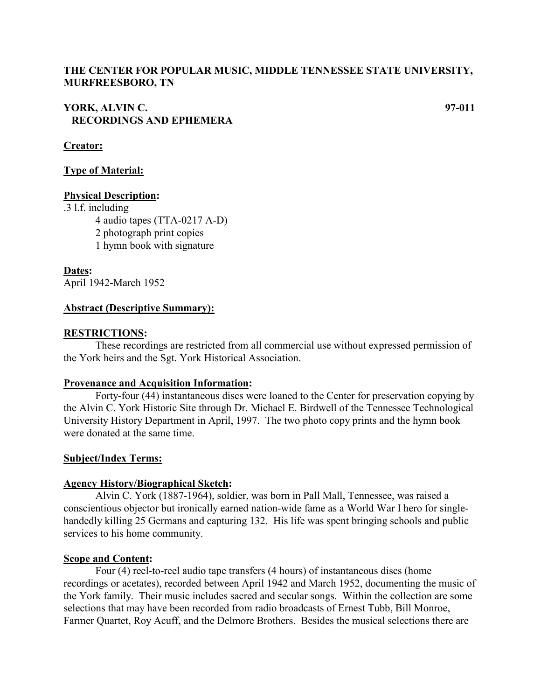## **THE CENTER FOR POPULAR MUSIC, MIDDLE TENNESSEE STATE UNIVERSITY, MURFREESBORO, TN**

## **YORK, ALVIN C. 97-011 RECORDINGS AND EPHEMERA**

## **Creator:**

## **Type of Material:**

#### **Physical Description:**

.3 l.f. including

4 audio tapes (TTA-0217 A-D)

2 photograph print copies

1 hymn book with signature

**Dates:** April 1942-March 1952

## **Abstract (Descriptive Summary):**

#### **RESTRICTIONS:**

These recordings are restricted from all commercial use without expressed permission of the York heirs and the Sgt. York Historical Association.

#### **Provenance and Acquisition Information:**

Forty-four (44) instantaneous discs were loaned to the Center for preservation copying by the Alvin C. York Historic Site through Dr. Michael E. Birdwell of the Tennessee Technological University History Department in April, 1997. The two photo copy prints and the hymn book were donated at the same time.

#### **Subject/Index Terms:**

#### **Agency History/Biographical Sketch:**

Alvin C. York (1887-1964), soldier, was born in Pall Mall, Tennessee, was raised a conscientious objector but ironically earned nation-wide fame as a World War I hero for singlehandedly killing 25 Germans and capturing 132. His life was spent bringing schools and public services to his home community.

#### **Scope and Content:**

Four (4) reel-to-reel audio tape transfers (4 hours) of instantaneous discs (home recordings or acetates), recorded between April 1942 and March 1952, documenting the music of the York family. Their music includes sacred and secular songs. Within the collection are some selections that may have been recorded from radio broadcasts of Ernest Tubb, Bill Monroe, Farmer Quartet, Roy Acuff, and the Delmore Brothers. Besides the musical selections there are